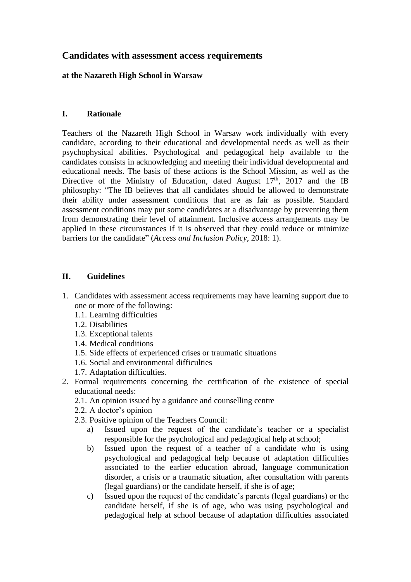# **Candidates with assessment access requirements**

# **at the Nazareth High School in Warsaw**

# **I. Rationale**

Teachers of the Nazareth High School in Warsaw work individually with every candidate, according to their educational and developmental needs as well as their psychophysical abilities. Psychological and pedagogical help available to the candidates consists in acknowledging and meeting their individual developmental and educational needs. The basis of these actions is the School Mission, as well as the Directive of the Ministry of Education, dated August  $17<sup>th</sup>$ , 2017 and the IB philosophy: "The IB believes that all candidates should be allowed to demonstrate their ability under assessment conditions that are as fair as possible. Standard assessment conditions may put some candidates at a disadvantage by preventing them from demonstrating their level of attainment. Inclusive access arrangements may be applied in these circumstances if it is observed that they could reduce or minimize barriers for the candidate" (*Access and Inclusion Policy*, 2018: 1).

## **II. Guidelines**

- 1. Candidates with assessment access requirements may have learning support due to one or more of the following:
	- 1.1. Learning difficulties
	- 1.2. Disabilities
	- 1.3. Exceptional talents
	- 1.4. Medical conditions
	- 1.5. Side effects of experienced crises or traumatic situations
	- 1.6. Social and environmental difficulties
	- 1.7. Adaptation difficulties.
- 2. Formal requirements concerning the certification of the existence of special educational needs:
	- 2.1. An opinion issued by a guidance and counselling centre
	- 2.2. A doctor's opinion
	- 2.3. Positive opinion of the Teachers Council:
		- a) Issued upon the request of the candidate's teacher or a specialist responsible for the psychological and pedagogical help at school;
		- b) Issued upon the request of a teacher of a candidate who is using psychological and pedagogical help because of adaptation difficulties associated to the earlier education abroad, language communication disorder, a crisis or a traumatic situation, after consultation with parents (legal guardians) or the candidate herself, if she is of age;
		- c) Issued upon the request of the candidate's parents (legal guardians) or the candidate herself, if she is of age, who was using psychological and pedagogical help at school because of adaptation difficulties associated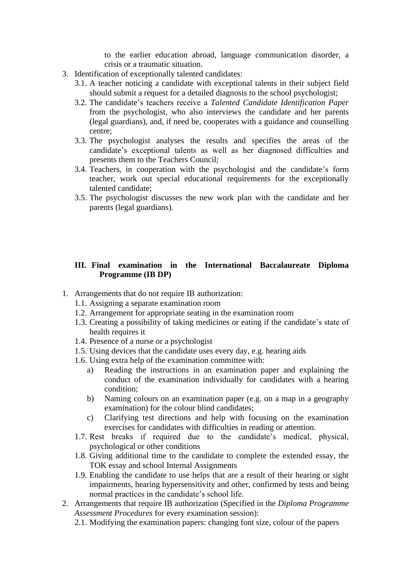to the earlier education abroad, language communication disorder, a crisis or a traumatic situation.

- 3. Identification of exceptionally talented candidates:
	- 3.1. A teacher noticing a candidate with exceptional talents in their subject field should submit a request for a detailed diagnosis to the school psychologist;
	- 3.2. The candidate's teachers receive a *Talented Candidate Identification Paper* from the psychologist, who also interviews the candidate and her parents (legal guardians), and, if need be, cooperates with a guidance and counselling centre;
	- 3.3. The psychologist analyses the results and specifies the areas of the candidate's exceptional talents as well as her diagnosed difficulties and presents them to the Teachers Council;
	- 3.4. Teachers, in cooperation with the psychologist and the candidate's form teacher, work out special educational requirements for the exceptionally talented candidate;
	- 3.5. The psychologist discusses the new work plan with the candidate and her parents (legal guardians).

#### **III. Final examination in the International Baccalaureate Diploma Programme (IB DP)**

- 1. Arrangements that do not require IB authorization:
	- 1.1. Assigning a separate examination room
	- 1.2. Arrangement for appropriate seating in the examination room
	- 1.3. Creating a possibility of taking medicines or eating if the candidate's state of health requires it
	- 1.4. Presence of a nurse or a psychologist
	- 1.5. Using devices that the candidate uses every day, e.g. hearing aids
	- 1.6. Using extra help of the examination committee with:
		- a) Reading the instructions in an examination paper and explaining the conduct of the examination individually for candidates with a hearing condition;
		- b) Naming colours on an examination paper (e.g. on a map in a geography examination) for the colour blind candidates;
		- c) Clarifying test directions and help with focusing on the examination exercises for candidates with difficulties in reading or attention.
	- 1.7. Rest breaks if required due to the candidate's medical, physical, psychological or other conditions
	- 1.8. Giving additional time to the candidate to complete the extended essay, the TOK essay and school Internal Assignments
	- 1.9. Enabling the candidate to use helps that are a result of their hearing or sight impairments, hearing hypersensitivity and other, confirmed by tests and being normal practices in the candidate's school life.
- 2. Arrangements that require IB authorization (Specified in the *Diploma Programme Assessment Procedures* for every examination session):
	- 2.1. Modifying the examination papers: changing font size, colour of the papers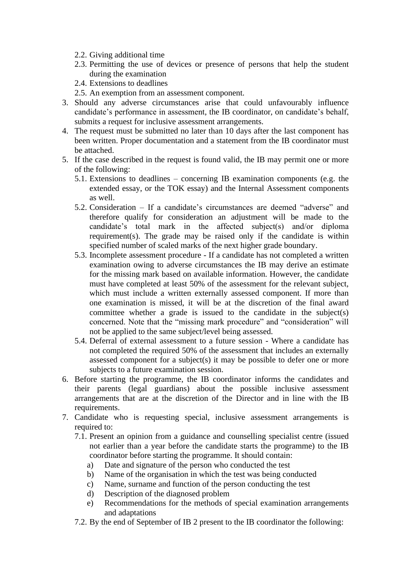- 2.2. Giving additional time
- 2.3. Permitting the use of devices or presence of persons that help the student during the examination
- 2.4. Extensions to deadlines
- 2.5. An exemption from an assessment component.
- 3. Should any adverse circumstances arise that could unfavourably influence candidate's performance in assessment, the IB coordinator, on candidate's behalf, submits a request for inclusive assessment arrangements.
- 4. The request must be submitted no later than 10 days after the last component has been written. Proper documentation and a statement from the IB coordinator must be attached.
- 5. If the case described in the request is found valid, the IB may permit one or more of the following:
	- 5.1. Extensions to deadlines concerning IB examination components (e.g. the extended essay, or the TOK essay) and the Internal Assessment components as well.
	- 5.2. Consideration If a candidate's circumstances are deemed "adverse" and therefore qualify for consideration an adjustment will be made to the candidate's total mark in the affected subject(s) and/or diploma requirement(s). The grade may be raised only if the candidate is within specified number of scaled marks of the next higher grade boundary.
	- 5.3. Incomplete assessment procedure If a candidate has not completed a written examination owing to adverse circumstances the IB may derive an estimate for the missing mark based on available information. However, the candidate must have completed at least 50% of the assessment for the relevant subject, which must include a written externally assessed component. If more than one examination is missed, it will be at the discretion of the final award committee whether a grade is issued to the candidate in the subject(s) concerned. Note that the "missing mark procedure" and "consideration" will not be applied to the same subject/level being assessed.
	- 5.4. Deferral of external assessment to a future session Where a candidate has not completed the required 50% of the assessment that includes an externally assessed component for a subject(s) it may be possible to defer one or more subjects to a future examination session.
- 6. Before starting the programme, the IB coordinator informs the candidates and their parents (legal guardians) about the possible inclusive assessment arrangements that are at the discretion of the Director and in line with the IB requirements.
- 7. Candidate who is requesting special, inclusive assessment arrangements is required to:
	- 7.1. Present an opinion from a guidance and counselling specialist centre (issued not earlier than a year before the candidate starts the programme) to the IB coordinator before starting the programme. It should contain:
		- a) Date and signature of the person who conducted the test
		- b) Name of the organisation in which the test was being conducted
		- c) Name, surname and function of the person conducting the test
		- d) Description of the diagnosed problem
		- e) Recommendations for the methods of special examination arrangements and adaptations
	- 7.2. By the end of September of IB 2 present to the IB coordinator the following: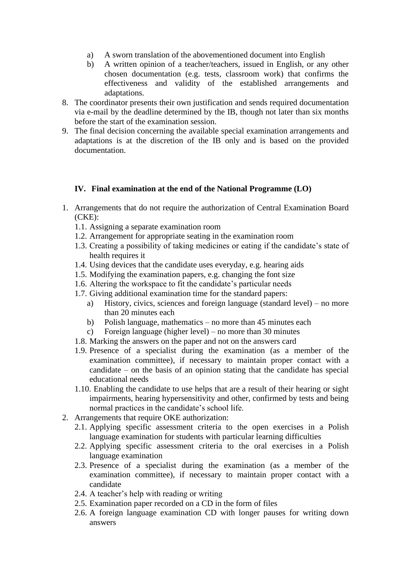- a) A sworn translation of the abovementioned document into English
- b) A written opinion of a teacher/teachers, issued in English, or any other chosen documentation (e.g. tests, classroom work) that confirms the effectiveness and validity of the established arrangements and adaptations.
- 8. The coordinator presents their own justification and sends required documentation via e-mail by the deadline determined by the IB, though not later than six months before the start of the examination session.
- 9. The final decision concerning the available special examination arrangements and adaptations is at the discretion of the IB only and is based on the provided documentation.

# **IV. Final examination at the end of the National Programme (LO)**

- 1. Arrangements that do not require the authorization of Central Examination Board (CKE):
	- 1.1. Assigning a separate examination room
	- 1.2. Arrangement for appropriate seating in the examination room
	- 1.3. Creating a possibility of taking medicines or eating if the candidate's state of health requires it
	- 1.4. Using devices that the candidate uses everyday, e.g. hearing aids
	- 1.5. Modifying the examination papers, e.g. changing the font size
	- 1.6. Altering the workspace to fit the candidate's particular needs
	- 1.7. Giving additional examination time for the standard papers:
		- a) History, civics, sciences and foreign language (standard level) no more than 20 minutes each
		- b) Polish language, mathematics no more than 45 minutes each
		- c) Foreign language (higher level) no more than 30 minutes
	- 1.8. Marking the answers on the paper and not on the answers card
	- 1.9. Presence of a specialist during the examination (as a member of the examination committee), if necessary to maintain proper contact with a candidate – on the basis of an opinion stating that the candidate has special educational needs
	- 1.10. Enabling the candidate to use helps that are a result of their hearing or sight impairments, hearing hypersensitivity and other, confirmed by tests and being normal practices in the candidate's school life.
- 2. Arrangements that require OKE authorization:
	- 2.1. Applying specific assessment criteria to the open exercises in a Polish language examination for students with particular learning difficulties
	- 2.2. Applying specific assessment criteria to the oral exercises in a Polish language examination
	- 2.3. Presence of a specialist during the examination (as a member of the examination committee), if necessary to maintain proper contact with a candidate
	- 2.4. A teacher's help with reading or writing
	- 2.5. Examination paper recorded on a CD in the form of files
	- 2.6. A foreign language examination CD with longer pauses for writing down answers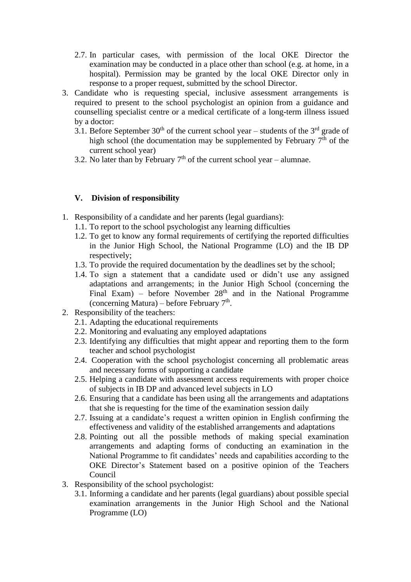- 2.7. In particular cases, with permission of the local OKE Director the examination may be conducted in a place other than school (e.g. at home, in a hospital). Permission may be granted by the local OKE Director only in response to a proper request, submitted by the school Director.
- 3. Candidate who is requesting special, inclusive assessment arrangements is required to present to the school psychologist an opinion from a guidance and counselling specialist centre or a medical certificate of a long-term illness issued by a doctor:
	- 3.1. Before September  $30<sup>th</sup>$  of the current school year students of the  $3<sup>rd</sup>$  grade of high school (the documentation may be supplemented by February  $7<sup>th</sup>$  of the current school year)
	- 3.2. No later than by February  $7<sup>th</sup>$  of the current school year alumnae.

## **V. Division of responsibility**

- 1. Responsibility of a candidate and her parents (legal guardians):
	- 1.1. To report to the school psychologist any learning difficulties
	- 1.2. To get to know any formal requirements of certifying the reported difficulties in the Junior High School, the National Programme (LO) and the IB DP respectively;
	- 1.3. To provide the required documentation by the deadlines set by the school;
	- 1.4. To sign a statement that a candidate used or didn't use any assigned adaptations and arrangements; in the Junior High School (concerning the Final Exam) – before November  $28<sup>th</sup>$  and in the National Programme (concerning Matura) – before February  $7<sup>th</sup>$ .
- 2. Responsibility of the teachers:
	- 2.1. Adapting the educational requirements
	- 2.2. Monitoring and evaluating any employed adaptations
	- 2.3. Identifying any difficulties that might appear and reporting them to the form teacher and school psychologist
	- 2.4. Cooperation with the school psychologist concerning all problematic areas and necessary forms of supporting a candidate
	- 2.5. Helping a candidate with assessment access requirements with proper choice of subjects in IB DP and advanced level subjects in LO
	- 2.6. Ensuring that a candidate has been using all the arrangements and adaptations that she is requesting for the time of the examination session daily
	- 2.7. Issuing at a candidate's request a written opinion in English confirming the effectiveness and validity of the established arrangements and adaptations
	- 2.8. Pointing out all the possible methods of making special examination arrangements and adapting forms of conducting an examination in the National Programme to fit candidates' needs and capabilities according to the OKE Director's Statement based on a positive opinion of the Teachers Council
- 3. Responsibility of the school psychologist:
	- 3.1. Informing a candidate and her parents (legal guardians) about possible special examination arrangements in the Junior High School and the National Programme (LO)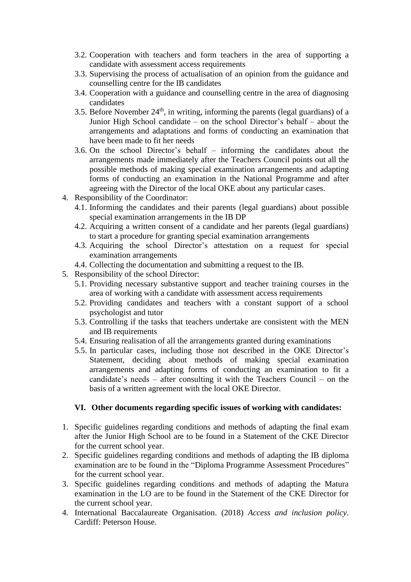- 3.2. Cooperation with teachers and form teachers in the area of supporting a candidate with assessment access requirements
- 3.3. Supervising the process of actualisation of an opinion from the guidance and counselling centre for the IB candidates
- 3.4. Cooperation with a guidance and counselling centre in the area of diagnosing candidates
- 3.5. Before November  $24<sup>th</sup>$ , in writing, informing the parents (legal guardians) of a Junior High School candidate – on the school Director's behalf – about the arrangements and adaptations and forms of conducting an examination that have been made to fit her needs
- 3.6. On the school Director's behalf informing the candidates about the arrangements made immediately after the Teachers Council points out all the possible methods of making special examination arrangements and adapting forms of conducting an examination in the National Programme and after agreeing with the Director of the local OKE about any particular cases.
- 4. Responsibility of the Coordinator:
	- 4.1. Informing the candidates and their parents (legal guardians) about possible special examination arrangements in the IB DP
	- 4.2. Acquiring a written consent of a candidate and her parents (legal guardians) to start a procedure for granting special examination arrangements
	- 4.3. Acquiring the school Director's attestation on a request for special examination arrangements
	- 4.4. Collecting the documentation and submitting a request to the IB.
- 5. Responsibility of the school Director:
	- 5.1. Providing necessary substantive support and teacher training courses in the area of working with a candidate with assessment access requirements
	- 5.2. Providing candidates and teachers with a constant support of a school psychologist and tutor
	- 5.3. Controlling if the tasks that teachers undertake are consistent with the MEN and IB requirements
	- 5.4. Ensuring realisation of all the arrangements granted during examinations
	- 5.5. In particular cases, including those not described in the OKE Director's Statement, deciding about methods of making special examination arrangements and adapting forms of conducting an examination to fit a candidate's needs – after consulting it with the Teachers Council – on the basis of a written agreement with the local OKE Director.

#### **VI. Other documents regarding specific issues of working with candidates:**

- 1. Specific guidelines regarding conditions and methods of adapting the final exam after the Junior High School are to be found in a Statement of the CKE Director for the current school year.
- 2. Specific guidelines regarding conditions and methods of adapting the IB diploma examination are to be found in the "Diploma Programme Assessment Procedures" for the current school year.
- 3. Specific guidelines regarding conditions and methods of adapting the Matura examination in the LO are to be found in the Statement of the CKE Director for the current school year.
- 4. International Baccalaureate Organisation. (2018) *Access and inclusion policy*. Cardiff: Peterson House.